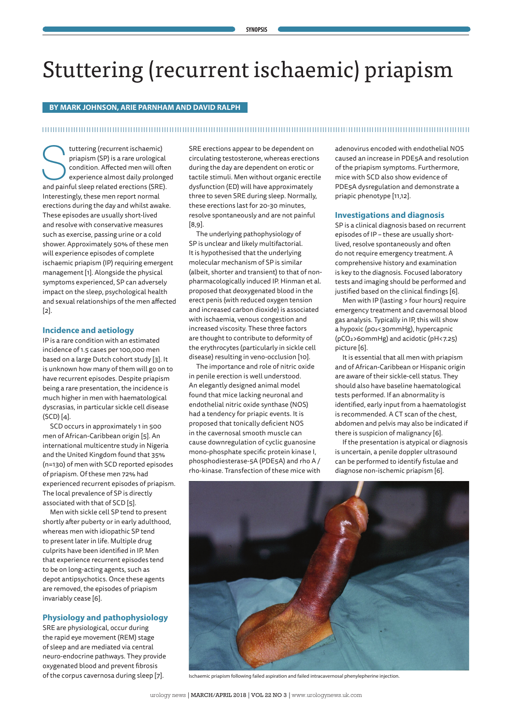# Stuttering (recurrent ischaemic) priapism

#### **BY MARK JOHNSON, ARIE PARNHAM AND DAVID RALPH**

#### 

tuttering (recurrent ischaemic)<br>
priapism (SP) is a rare urological<br>
condition. Affected men will ofte<br>
experience almost daily prolonge<br>
and painful sleep related erections (SRE). priapism (SP) is a rare urological condition. Affected men will often experience almost daily prolonged Interestingly, these men report normal erections during the day and whilst awake. These episodes are usually short-lived and resolve with conservative measures such as exercise, passing urine or a cold shower. Approximately 50% of these men will experience episodes of complete ischaemic priapism (IP) requiring emergent management [1]. Alongside the physical symptoms experienced, SP can adversely impact on the sleep, psychological health and sexual relationships of the men affected [2].

#### **Incidence and aetiology**

IP is a rare condition with an estimated incidence of 1.5 cases per 100,000 men based on a large Dutch cohort study [3]. It is unknown how many of them will go on to have recurrent episodes. Despite priapism being a rare presentation, the incidence is much higher in men with haematological dyscrasias, in particular sickle cell disease (SCD) [4].

SCD occurs in approximately 1 in 500 men of African-Caribbean origin [5]. An international multicentre study in Nigeria and the United Kingdom found that 35% (n=130) of men with SCD reported episodes of priapism. Of these men 72% had experienced recurrent episodes of priapism. The local prevalence of SP is directly associated with that of SCD [5].

Men with sickle cell SP tend to present shortly after puberty or in early adulthood, whereas men with idiopathic SP tend to present later in life. Multiple drug culprits have been identified in IP. Men that experience recurrent episodes tend to be on long-acting agents, such as depot antipsychotics. Once these agents are removed, the episodes of priapism invariably cease [6].

#### **Physiology and pathophysiology**

SRE are physiological, occur during the rapid eye movement (REM) stage of sleep and are mediated via central neuro-endocrine pathways. They provide oxygenated blood and prevent fibrosis of the corpus cavernosa during sleep [7].

SRE erections appear to be dependent on circulating testosterone, whereas erections during the day are dependent on erotic or tactile stimuli. Men without organic erectile dysfunction (ED) will have approximately three to seven SRE during sleep. Normally, these erections last for 20-30 minutes, resolve spontaneously and are not painful [8,9].

The underlying pathophysiology of SP is unclear and likely multifactorial. It is hypothesised that the underlying molecular mechanism of SP is similar (albeit, shorter and transient) to that of nonpharmacologically induced IP. Hinman et al. proposed that deoxygenated blood in the erect penis (with reduced oxygen tension and increased carbon dioxide) is associated with ischaemia, venous congestion and increased viscosity. These three factors are thought to contribute to deformity of the erythrocytes (particularly in sickle cell disease) resulting in veno-occlusion [10].

The importance and role of nitric oxide in penile erection is well understood. An elegantly designed animal model found that mice lacking neuronal and endothelial nitric oxide synthase (NOS) had a tendency for priapic events. It is proposed that tonically deficient NOS in the cavernosal smooth muscle can cause downregulation of cyclic guanosine mono-phosphate specific protein kinase I, phosphodiesterase-5A (PDE5A) and rho A / rho-kinase. Transfection of these mice with adenovirus encoded with endothelial NOS caused an increase in PDE5A and resolution of the priapism symptoms. Furthermore, mice with SCD also show evidence of PDE5A dysregulation and demonstrate a priapic phenotype [11,12].

#### **Investigations and diagnosis**

SP is a clinical diagnosis based on recurrent episodes of IP – these are usually shortlived, resolve spontaneously and often do not require emergency treatment. A comprehensive history and examination is key to the diagnosis. Focused laboratory tests and imaging should be performed and justified based on the clinical findings [6].

Men with IP (lasting > four hours) require emergency treatment and cavernosal blood gas analysis. Typically in IP, this will show a hypoxic (p02<30mmHg), hypercapnic (pCO2>60mmHg) and acidotic (pH<7.25) picture [6].

It is essential that all men with priapism and of African-Caribbean or Hispanic origin are aware of their sickle-cell status. They should also have baseline haematological tests performed. If an abnormality is identified, early input from a haematologist is recommended. A CT scan of the chest, abdomen and pelvis may also be indicated if there is suspicion of malignancy [6].

If the presentation is atypical or diagnosis is uncertain, a penile doppler ultrasound can be performed to identify fistulae and diagnose non-ischemic priapism [6].



Ischaemic priapism following failed aspiration and failed intracavernosal phenylepherine injection.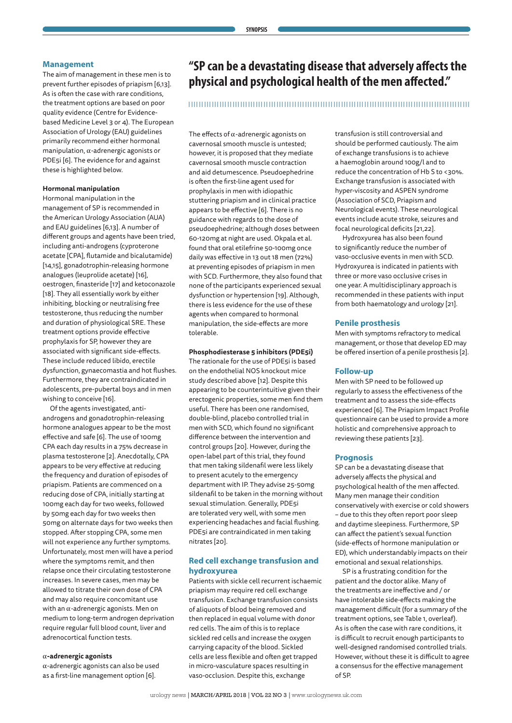#### **Management**

The aim of management in these men is to prevent further episodes of priapism [6,13]. As is often the case with rare conditions, the treatment options are based on poor quality evidence (Centre for Evidencebased Medicine Level 3 or 4). The European Association of Urology (EAU) guidelines primarily recommend either hormonal manipulation,  $\alpha$ -adrenergic agonists or PDE5i [6]. The evidence for and against these is highlighted below.

#### **Hormonal manipulation**

Hormonal manipulation in the management of SP is recommended in the American Urology Association (AUA) and EAU guidelines [6,13]. A number of different groups and agents have been tried, including anti-androgens (cyproterone acetate [CPA], flutamide and bicalutamide) [14,15], gonadotrophin-releasing hormone analogues (leuprolide acetate) [16], oestrogen, finasteride [17] and ketoconazole [18]. They all essentially work by either inhibiting, blocking or neutralising free testosterone, thus reducing the number and duration of physiological SRE. These treatment options provide effective prophylaxis for SP, however they are associated with significant side-effects. These include reduced libido, erectile dysfunction, gynaecomastia and hot flushes. Furthermore, they are contraindicated in adolescents, pre-pubertal boys and in men wishing to conceive [16].

Of the agents investigated, antiandrogens and gonadotrophin-releasing hormone analogues appear to be the most effective and safe [6]. The use of 100mg CPA each day results in a 75% decrease in plasma testosterone [2]. Anecdotally, CPA appears to be very effective at reducing the frequency and duration of episodes of priapism. Patients are commenced on a reducing dose of CPA, initially starting at 100mg each day for two weeks, followed by 50mg each day for two weeks then 50mg on alternate days for two weeks then stopped. After stopping CPA, some men will not experience any further symptoms. Unfortunately, most men will have a period where the symptoms remit, and then relapse once their circulating testosterone increases. In severe cases, men may be allowed to titrate their own dose of CPA and may also require concomitant use with an  $\alpha$ -adrenergic agonists. Men on medium to long-term androgen deprivation require regular full blood count, liver and adrenocortical function tests.

#### �**-adrenergic agonists**

 $\alpha$ -adrenergic agonists can also be used as a first-line management option [6].

### **"SP can be a devastating disease that adversely affects the physical and psychological health of the men affected."**

#### 

The effects of  $\alpha$ -adrenergic agonists on cavernosal smooth muscle is untested; however, it is proposed that they mediate cavernosal smooth muscle contraction and aid detumescence. Pseudoephedrine is often the first-line agent used for prophylaxis in men with idiopathic stuttering priapism and in clinical practice appears to be effective [6]. There is no guidance with regards to the dose of pseudoephedrine; although doses between 60-120mg at night are used. Okpala et al. found that oral etilefrine 50-100mg once daily was effective in 13 out 18 men (72%) at preventing episodes of priapism in men with SCD. Furthermore, they also found that none of the participants experienced sexual dysfunction or hypertension [19]. Although, there is less evidence for the use of these agents when compared to hormonal manipulation, the side-effects are more tolerable.

#### **Phosphodiesterase 5 inhibitors (PDE5i)**

The rationale for the use of PDE5i is based on the endothelial NOS knockout mice study described above [12]. Despite this appearing to be counterintuitive given their erectogenic properties, some men find them useful. There has been one randomised, double-blind, placebo controlled trial in men with SCD, which found no significant difference between the intervention and control groups [20]. However, during the open-label part of this trial, they found that men taking sildenafil were less likely to present acutely to the emergency department with IP. They advise 25-50mg sildenafil to be taken in the morning without sexual stimulation. Generally, PDE5i are tolerated very well, with some men experiencing headaches and facial flushing. PDE5i are contraindicated in men taking nitrates [20].

#### **Red cell exchange transfusion and hydroxyurea**

Patients with sickle cell recurrent ischaemic priapism may require red cell exchange transfusion. Exchange transfusion consists of aliquots of blood being removed and then replaced in equal volume with donor red cells. The aim of this is to replace sickled red cells and increase the oxygen carrying capacity of the blood. Sickled cells are less flexible and often get trapped in micro-vasculature spaces resulting in vaso-occlusion. Despite this, exchange

transfusion is still controversial and should be performed cautiously. The aim of exchange transfusions is to achieve a haemoglobin around 100g/l and to reduce the concentration of Hb S to <30%. Exchange transfusion is associated with hyper-viscosity and ASPEN syndrome (Association of SCD, Priapism and Neurological events). These neurological events include acute stroke, seizures and focal neurological deficits [21,22].

Hydroxyurea has also been found to significantly reduce the number of vaso-occlusive events in men with SCD. Hydroxyurea is indicated in patients with three or more vaso occlusive crises in one year. A multidisciplinary approach is recommended in these patients with input from both haematology and urology [21].

#### **Penile prosthesis**

Men with symptoms refractory to medical management, or those that develop ED may be offered insertion of a penile prosthesis [2].

#### **Follow-up**

Men with SP need to be followed up regularly to assess the effectiveness of the treatment and to assess the side-effects experienced [6]. The Priapism Impact Profile questionnaire can be used to provide a more holistic and comprehensive approach to reviewing these patients [23].

#### **Prognosis**

SP can be a devastating disease that adversely affects the physical and psychological health of the men affected. Many men manage their condition conservatively with exercise or cold showers – due to this they often report poor sleep and daytime sleepiness. Furthermore, SP can affect the patient's sexual function (side-effects of hormone manipulation or ED), which understandably impacts on their emotional and sexual relationships.

SP is a frustrating condition for the patient and the doctor alike. Many of the treatments are ineffective and / or have intolerable side-effects making the management difficult (for a summary of the treatment options, see Table 1, overleaf). As is often the case with rare conditions, it is difficult to recruit enough participants to well-designed randomised controlled trials. However, without these it is difficult to agree a consensus for the effective management of SP.